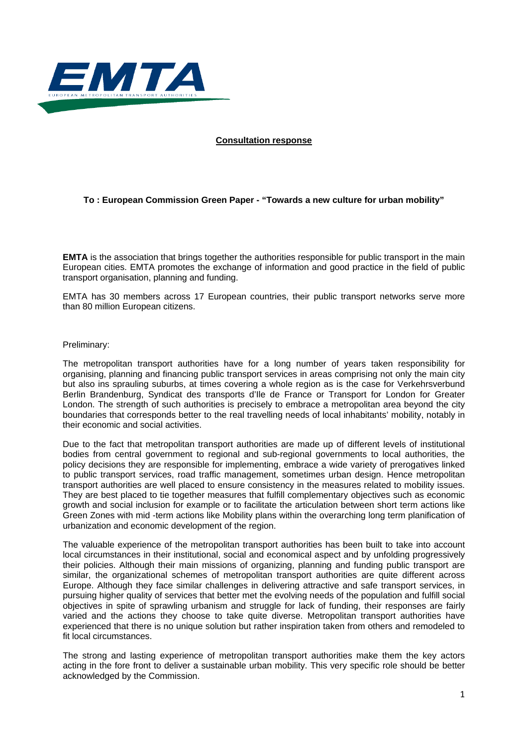

#### **Consultation response**

# **To : European Commission Green Paper - "Towards a new culture for urban mobility"**

**EMTA** is the association that brings together the authorities responsible for public transport in the main European cities. EMTA promotes the exchange of information and good practice in the field of public transport organisation, planning and funding.

EMTA has 30 members across 17 European countries, their public transport networks serve more than 80 million European citizens.

#### Preliminary:

The metropolitan transport authorities have for a long number of years taken responsibility for organising, planning and financing public transport services in areas comprising not only the main city but also ins sprauling suburbs, at times covering a whole region as is the case for Verkehrsverbund Berlin Brandenburg, Syndicat des transports d'Ile de France or Transport for London for Greater London. The strength of such authorities is precisely to embrace a metropolitan area beyond the city boundaries that corresponds better to the real travelling needs of local inhabitants' mobility, notably in their economic and social activities.

Due to the fact that metropolitan transport authorities are made up of different levels of institutional bodies from central government to regional and sub-regional governments to local authorities, the policy decisions they are responsible for implementing, embrace a wide variety of prerogatives linked to public transport services, road traffic management, sometimes urban design. Hence metropolitan transport authorities are well placed to ensure consistency in the measures related to mobility issues. They are best placed to tie together measures that fulfill complementary objectives such as economic growth and social inclusion for example or to facilitate the articulation between short term actions like Green Zones with mid -term actions like Mobility plans within the overarching long term planification of urbanization and economic development of the region.

The valuable experience of the metropolitan transport authorities has been built to take into account local circumstances in their institutional, social and economical aspect and by unfolding progressively their policies. Although their main missions of organizing, planning and funding public transport are similar, the organizational schemes of metropolitan transport authorities are quite different across Europe. Although they face similar challenges in delivering attractive and safe transport services, in pursuing higher quality of services that better met the evolving needs of the population and fulfill social objectives in spite of sprawling urbanism and struggle for lack of funding, their responses are fairly varied and the actions they choose to take quite diverse. Metropolitan transport authorities have experienced that there is no unique solution but rather inspiration taken from others and remodeled to fit local circumstances.

The strong and lasting experience of metropolitan transport authorities make them the key actors acting in the fore front to deliver a sustainable urban mobility. This very specific role should be better acknowledged by the Commission.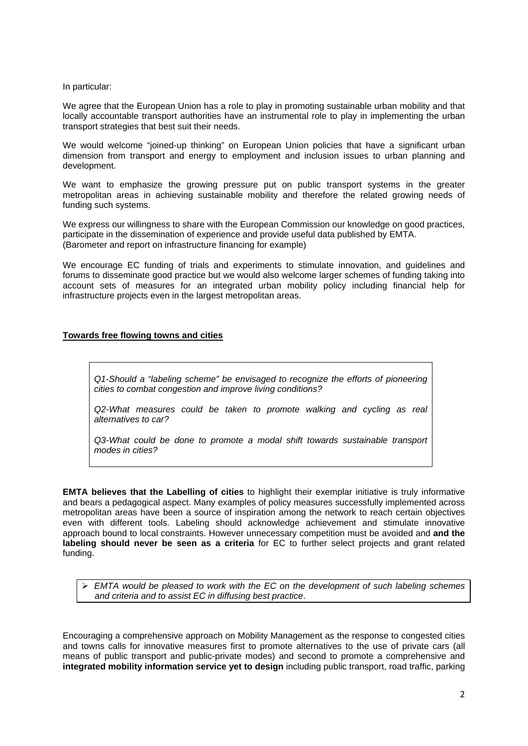## In particular:

We agree that the European Union has a role to play in promoting sustainable urban mobility and that locally accountable transport authorities have an instrumental role to play in implementing the urban transport strategies that best suit their needs.

We would welcome "joined-up thinking" on European Union policies that have a significant urban dimension from transport and energy to employment and inclusion issues to urban planning and development.

We want to emphasize the growing pressure put on public transport systems in the greater metropolitan areas in achieving sustainable mobility and therefore the related growing needs of funding such systems.

We express our willingness to share with the European Commission our knowledge on good practices, participate in the dissemination of experience and provide useful data published by EMTA. (Barometer and report on infrastructure financing for example)

We encourage EC funding of trials and experiments to stimulate innovation, and guidelines and forums to disseminate good practice but we would also welcome larger schemes of funding taking into account sets of measures for an integrated urban mobility policy including financial help for infrastructure projects even in the largest metropolitan areas.

## **Towards free flowing towns and cities**

*Q1-Should a "labeling scheme" be envisaged to recognize the efforts of pioneering cities to combat congestion and improve living conditions?* 

*Q2-What measures could be taken to promote walking and cycling as real alternatives to car?* 

*Q3-What could be done to promote a modal shift towards sustainable transport modes in cities?* 

**EMTA believes that the Labelling of cities** to highlight their exemplar initiative is truly informative and bears a pedagogical aspect. Many examples of policy measures successfully implemented across metropolitan areas have been a source of inspiration among the network to reach certain objectives even with different tools. Labeling should acknowledge achievement and stimulate innovative approach bound to local constraints. However unnecessary competition must be avoided and **and the labeling should never be seen as a criteria** for EC to further select projects and grant related funding.

¾ *EMTA would be pleased to work with the EC on the development of such labeling schemes and criteria and to assist EC in diffusing best practice*.

Encouraging a comprehensive approach on Mobility Management as the response to congested cities and towns calls for innovative measures first to promote alternatives to the use of private cars (all means of public transport and public-private modes) and second to promote a comprehensive and **integrated mobility information service yet to design** including public transport, road traffic, parking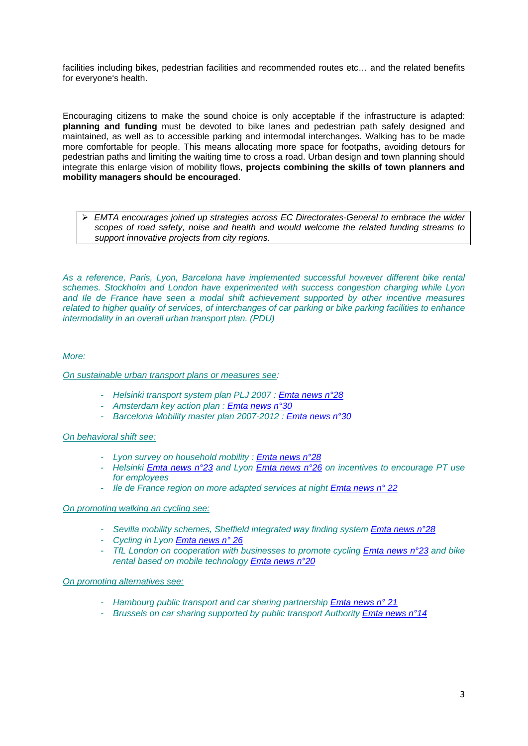facilities including bikes, pedestrian facilities and recommended routes etc… and the related benefits for everyone's health.

Encouraging citizens to make the sound choice is only acceptable if the infrastructure is adapted: **planning and funding** must be devoted to bike lanes and pedestrian path safely designed and maintained, as well as to accessible parking and intermodal interchanges. Walking has to be made more comfortable for people. This means allocating more space for footpaths, avoiding detours for pedestrian paths and limiting the waiting time to cross a road. Urban design and town planning should integrate this enlarge vision of mobility flows, **projects combining the skills of town planners and mobility managers should be encouraged**.

¾ *EMTA encourages joined up strategies across EC Directorates-General to embrace the wider scopes of road safety, noise and health and would welcome the related funding streams to support innovative projects from city regions.* 

*As a reference, Paris, Lyon, Barcelona have implemented successful however different bike rental schemes. Stockholm and London have experimented with success congestion charging while Lyon and Ile de France have seen a modal shift achievement supported by other incentive measures related to higher quality of services, of interchanges of car parking or bike parking facilities to enhance intermodality in an overall urban transport plan. (PDU)* 

## *More:*

## *On sustainable urban transport plans or measures see:*

- *Helsinki transport system plan PLJ 2007 : [Emta news n°28](http://www.emta.com/IMG/pdf/EMTAnews_28-2.pdf)*
- *Amsterdam key action plan : [Emta news n°30](http://www.emta.com/IMG/pdf/news_30-6.pdf)*
- *Barcelona Mobility master plan 2007-2012 : [Emta news n°30](http://www.emta.com/IMG/pdf/news_30-6.pdf)*

## *On behavioral shift see:*

- *Lyon survey on household mobility : [Emta news n°28](http://www.emta.com/IMG/pdf/EMTAnews_28-2.pdf)*
- *Helsinki [Emta news n°23](http://www.emta.com/IMG/pdf/news_23.pdf) and Lyon [Emta news n°26](http://www.emta.com/IMG/pdf/news_26.pdf) on incentives to encourage PT use for employees*
- *Ile de France region on more adapted services at night [Emta news n° 22](http://www.emta.com/IMG/pdf/news_22.pdf)*

#### *On promoting walking an cycling see:*

- *Sevilla mobility schemes, Sheffield integrated way finding system [Emta news n°28](http://www.emta.com/IMG/pdf/EMTAnews_28-2.pdf)*
- *Cycling in Lyon [Emta news n° 26](http://www.emta.com/IMG/pdf/news_26.pdf)*
- *TfL London on cooperation with businesses to promote cycling [Emta news n°23](http://www.emta.com/IMG/pdf/news_23.pdf) and bike rental based on mobile technology [Emta news n°20](http://www.emta.com/IMG/pdf/news_20.pdf)*

# *On promoting alternatives see:*

- *Hambourg public transport and car sharing partnership [Emta news n° 21](http://www.emta.com/IMG/pdf/news_21.pdf)*
- *Brussels on car sharing supported by public transport Authority [Emta news n°14](http://www.emta.com/IMG/pdf/news_14.pdf)*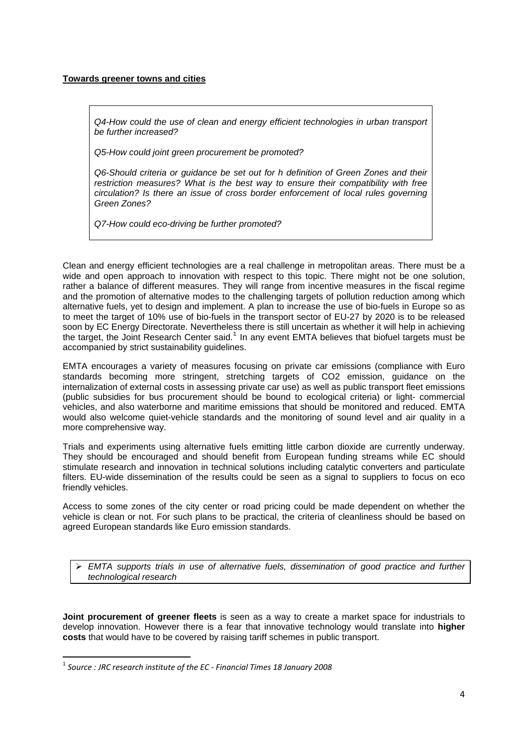## **Towards greener towns and cities**

*Q4-How could the use of clean and energy efficient technologies in urban transport be further increased?* 

*Q5-How could joint green procurement be promoted?* 

*Q6-Should criteria or guidance be set out for h definition of Green Zones and their restriction measures? What is the best way to ensure their compatibility with free circulation? Is there an issue of cross border enforcement of local rules governing Green Zones?* 

*Q7-How could eco-driving be further promoted?* 

Clean and energy efficient technologies are a real challenge in metropolitan areas. There must be a wide and open approach to innovation with respect to this topic. There might not be one solution, rather a balance of different measures. They will range from incentive measures in the fiscal regime and the promotion of alternative modes to the challenging targets of pollution reduction among which alternative fuels, yet to design and implement. A plan to increase the use of bio-fuels in Europe so as to meet the target of 10% use of bio-fuels in the transport sector of EU-27 by 2020 is to be released soon by EC Energy Directorate. Nevertheless there is still uncertain as whether it will help in achieving the target, the Joint Research Center said.<sup>[1](#page-3-0)</sup> In any event EMTA believes that biofuel targets must be accompanied by strict sustainability guidelines.

EMTA encourages a variety of measures focusing on private car emissions (compliance with Euro standards becoming more stringent, stretching targets of CO2 emission, guidance on the internalization of external costs in assessing private car use) as well as public transport fleet emissions (public subsidies for bus procurement should be bound to ecological criteria) or light- commercial vehicles, and also waterborne and maritime emissions that should be monitored and reduced. EMTA would also welcome quiet-vehicle standards and the monitoring of sound level and air quality in a more comprehensive way.

Trials and experiments using alternative fuels emitting little carbon dioxide are currently underway. They should be encouraged and should benefit from European funding streams while EC should stimulate research and innovation in technical solutions including catalytic converters and particulate filters. EU-wide dissemination of the results could be seen as a signal to suppliers to focus on eco friendly vehicles.

Access to some zones of the city center or road pricing could be made dependent on whether the vehicle is clean or not. For such plans to be practical, the criteria of cleanliness should be based on agreed European standards like Euro emission standards.

¾ *EMTA supports trials in use of alternative fuels, dissemination of good practice and further technological research* 

**Joint procurement of greener fleets** is seen as a way to create a market space for industrials to develop innovation. However there is a fear that innovative technology would translate into **higher costs** that would have to be covered by raising tariff schemes in public transport.

<span id="page-3-0"></span><sup>1</sup> *Source : JRC research institute of the EC ‐ Financial Times 18 January 2008*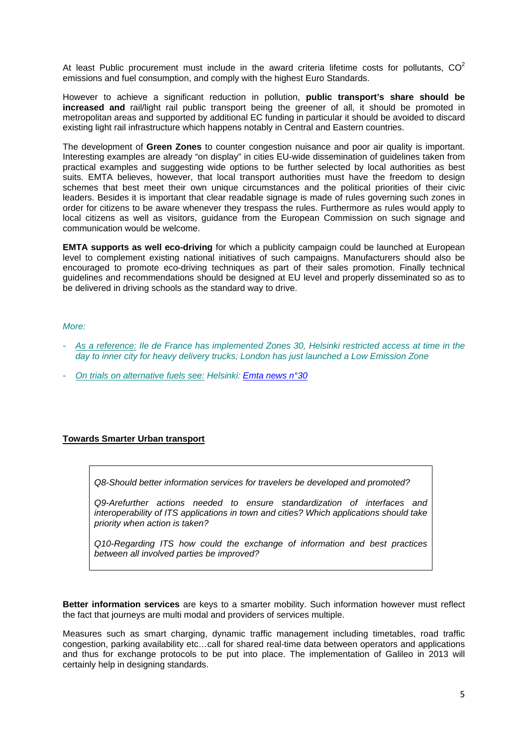At least Public procurement must include in the award criteria lifetime costs for pollutants.  $CO<sup>2</sup>$ emissions and fuel consumption, and comply with the highest Euro Standards.

However to achieve a significant reduction in pollution, **public transport's share should be increased and** rail/light rail public transport being the greener of all, it should be promoted in metropolitan areas and supported by additional EC funding in particular it should be avoided to discard existing light rail infrastructure which happens notably in Central and Eastern countries.

The development of **Green Zones** to counter congestion nuisance and poor air quality is important. Interesting examples are already "on display" in cities EU-wide dissemination of guidelines taken from practical examples and suggesting wide options to be further selected by local authorities as best suits. EMTA believes, however, that local transport authorities must have the freedom to design schemes that best meet their own unique circumstances and the political priorities of their civic leaders. Besides it is important that clear readable signage is made of rules governing such zones in order for citizens to be aware whenever they trespass the rules. Furthermore as rules would apply to local citizens as well as visitors, guidance from the European Commission on such signage and communication would be welcome.

**EMTA supports as well eco-driving** for which a publicity campaign could be launched at European level to complement existing national initiatives of such campaigns. Manufacturers should also be encouraged to promote eco-driving techniques as part of their sales promotion. Finally technical guidelines and recommendations should be designed at EU level and properly disseminated so as to be delivered in driving schools as the standard way to drive.

## *More:*

- *As a reference: Ile de France has implemented Zones 30, Helsinki restricted access at time in the day to inner city for heavy delivery trucks; London has just launched a Low Emission Zone*
- *On trials on alternative fuels see: Helsinki: [Emta news n°30](http://www.emta.com/IMG/pdf/news_30-6.pdf)*

# **Towards Smarter Urban transport**

*Q8-Should better information services for travelers be developed and promoted?* 

*Q9-Arefurther actions needed to ensure standardization of interfaces and interoperability of ITS applications in town and cities? Which applications should take priority when action is taken?* 

*Q10-Regarding ITS how could the exchange of information and best practices between all involved parties be improved?* 

**Better information services** are keys to a smarter mobility. Such information however must reflect the fact that journeys are multi modal and providers of services multiple.

Measures such as smart charging, dynamic traffic management including timetables, road traffic congestion, parking availability etc…call for shared real-time data between operators and applications and thus for exchange protocols to be put into place. The implementation of Galileo in 2013 will certainly help in designing standards.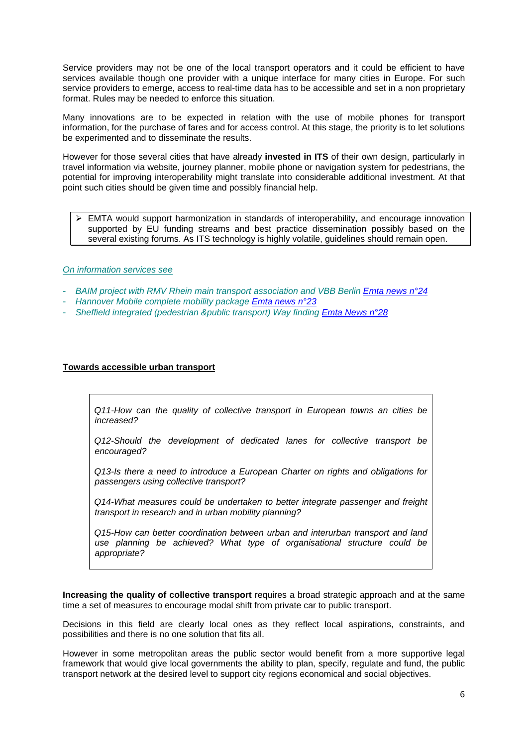Service providers may not be one of the local transport operators and it could be efficient to have services available though one provider with a unique interface for many cities in Europe. For such service providers to emerge, access to real-time data has to be accessible and set in a non proprietary format. Rules may be needed to enforce this situation.

Many innovations are to be expected in relation with the use of mobile phones for transport information, for the purchase of fares and for access control. At this stage, the priority is to let solutions be experimented and to disseminate the results.

However for those several cities that have already **invested in ITS** of their own design, particularly in travel information via website, journey planner, mobile phone or navigation system for pedestrians, the potential for improving interoperability might translate into considerable additional investment. At that point such cities should be given time and possibly financial help.

¾ EMTA would support harmonization in standards of interoperability, and encourage innovation supported by EU funding streams and best practice dissemination possibly based on the several existing forums. As ITS technology is highly volatile, guidelines should remain open.

## *On information services see*

- <sup>-</sup> *BAIM project with RMV Rhein main transport association and VBB Berlin <i>[Emta news n°24](http://www.emta.com/IMG/pdf/emta_news_24.pdf)*
- *Hannover Mobile complete mobility package [Emta news n°23](http://www.emta.com/IMG/pdf/emta_news_23.pdf)*
- *Sheffield integrated (pedestrian &public transport) Way finding [Emta News n°28](http://www.emta.com/IMG/pdf/EMTAnews_28-2.pdf)*

## **Towards accessible urban transport**

*Q11-How can the quality of collective transport in European towns an cities be increased?* 

*Q12-Should the development of dedicated lanes for collective transport be encouraged?* 

*Q13-Is there a need to introduce a European Charter on rights and obligations for passengers using collective transport?* 

*Q14-What measures could be undertaken to better integrate passenger and freight transport in research and in urban mobility planning?* 

*Q15-How can better coordination between urban and interurban transport and land use planning be achieved? What type of organisational structure could be appropriate?* 

**Increasing the quality of collective transport** requires a broad strategic approach and at the same time a set of measures to encourage modal shift from private car to public transport.

Decisions in this field are clearly local ones as they reflect local aspirations, constraints, and possibilities and there is no one solution that fits all.

However in some metropolitan areas the public sector would benefit from a more supportive legal framework that would give local governments the ability to plan, specify, regulate and fund, the public transport network at the desired level to support city regions economical and social objectives.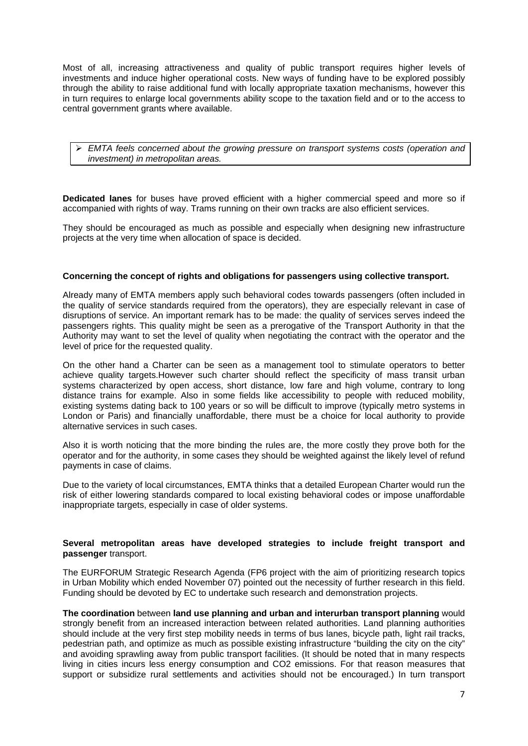Most of all, increasing attractiveness and quality of public transport requires higher levels of investments and induce higher operational costs. New ways of funding have to be explored possibly through the ability to raise additional fund with locally appropriate taxation mechanisms, however this in turn requires to enlarge local governments ability scope to the taxation field and or to the access to central government grants where available.

#### ¾ *EMTA feels concerned about the growing pressure on transport systems costs (operation and investment) in metropolitan areas.*

**Dedicated lanes** for buses have proved efficient with a higher commercial speed and more so if accompanied with rights of way. Trams running on their own tracks are also efficient services.

They should be encouraged as much as possible and especially when designing new infrastructure projects at the very time when allocation of space is decided.

#### **Concerning the concept of rights and obligations for passengers using collective transport.**

Already many of EMTA members apply such behavioral codes towards passengers (often included in the quality of service standards required from the operators), they are especially relevant in case of disruptions of service. An important remark has to be made: the quality of services serves indeed the passengers rights. This quality might be seen as a prerogative of the Transport Authority in that the Authority may want to set the level of quality when negotiating the contract with the operator and the level of price for the requested quality.

On the other hand a Charter can be seen as a management tool to stimulate operators to better achieve quality targets.However such charter should reflect the specificity of mass transit urban systems characterized by open access, short distance, low fare and high volume, contrary to long distance trains for example. Also in some fields like accessibility to people with reduced mobility, existing systems dating back to 100 years or so will be difficult to improve (typically metro systems in London or Paris) and financially unaffordable, there must be a choice for local authority to provide alternative services in such cases.

Also it is worth noticing that the more binding the rules are, the more costly they prove both for the operator and for the authority, in some cases they should be weighted against the likely level of refund payments in case of claims.

Due to the variety of local circumstances, EMTA thinks that a detailed European Charter would run the risk of either lowering standards compared to local existing behavioral codes or impose unaffordable inappropriate targets, especially in case of older systems.

#### **Several metropolitan areas have developed strategies to include freight transport and passenger** transport.

The EURFORUM Strategic Research Agenda (FP6 project with the aim of prioritizing research topics in Urban Mobility which ended November 07) pointed out the necessity of further research in this field. Funding should be devoted by EC to undertake such research and demonstration projects.

**The coordination** between **land use planning and urban and interurban transport planning** would strongly benefit from an increased interaction between related authorities. Land planning authorities should include at the very first step mobility needs in terms of bus lanes, bicycle path, light rail tracks, pedestrian path, and optimize as much as possible existing infrastructure "building the city on the city" and avoiding sprawling away from public transport facilities. (It should be noted that in many respects living in cities incurs less energy consumption and CO2 emissions. For that reason measures that support or subsidize rural settlements and activities should not be encouraged.) In turn transport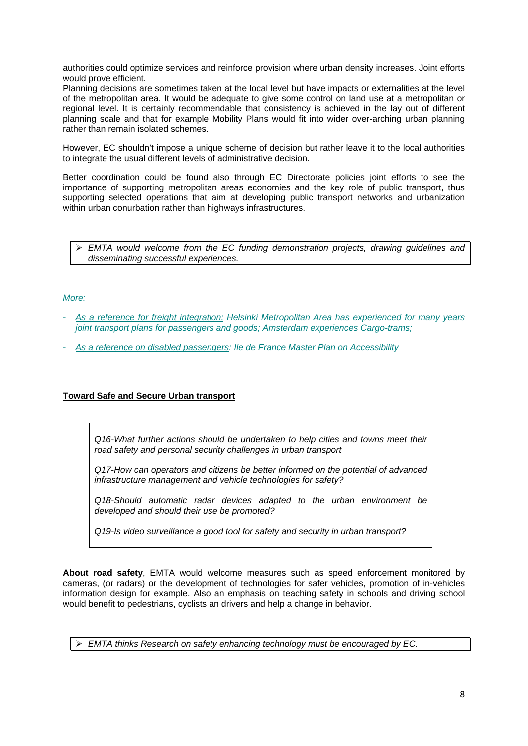authorities could optimize services and reinforce provision where urban density increases. Joint efforts would prove efficient.

Planning decisions are sometimes taken at the local level but have impacts or externalities at the level of the metropolitan area. It would be adequate to give some control on land use at a metropolitan or regional level. It is certainly recommendable that consistency is achieved in the lay out of different planning scale and that for example Mobility Plans would fit into wider over-arching urban planning rather than remain isolated schemes.

However, EC shouldn't impose a unique scheme of decision but rather leave it to the local authorities to integrate the usual different levels of administrative decision.

Better coordination could be found also through EC Directorate policies joint efforts to see the importance of supporting metropolitan areas economies and the key role of public transport, thus supporting selected operations that aim at developing public transport networks and urbanization within urban conurbation rather than highways infrastructures.

¾ *EMTA would welcome from the EC funding demonstration projects, drawing guidelines and disseminating successful experiences.* 

## *More:*

- *As a reference for freight integration: Helsinki Metropolitan Area has experienced for many years joint transport plans for passengers and goods; Amsterdam experiences Cargo-trams;*
- *As a reference on disabled passengers: Ile de France Master Plan on Accessibility*

# **Toward Safe and Secure Urban transport**

*Q16-What further actions should be undertaken to help cities and towns meet their road safety and personal security challenges in urban transport* 

*Q17-How can operators and citizens be better informed on the potential of advanced infrastructure management and vehicle technologies for safety?* 

*Q18-Should automatic radar devices adapted to the urban environment be developed and should their use be promoted?* 

*Q19-Is video surveillance a good tool for safety and security in urban transport?* 

**About road safety**, EMTA would welcome measures such as speed enforcement monitored by cameras, (or radars) or the development of technologies for safer vehicles, promotion of in-vehicles information design for example. Also an emphasis on teaching safety in schools and driving school would benefit to pedestrians, cyclists an drivers and help a change in behavior.

¾ *EMTA thinks Research on safety enhancing technology must be encouraged by EC.*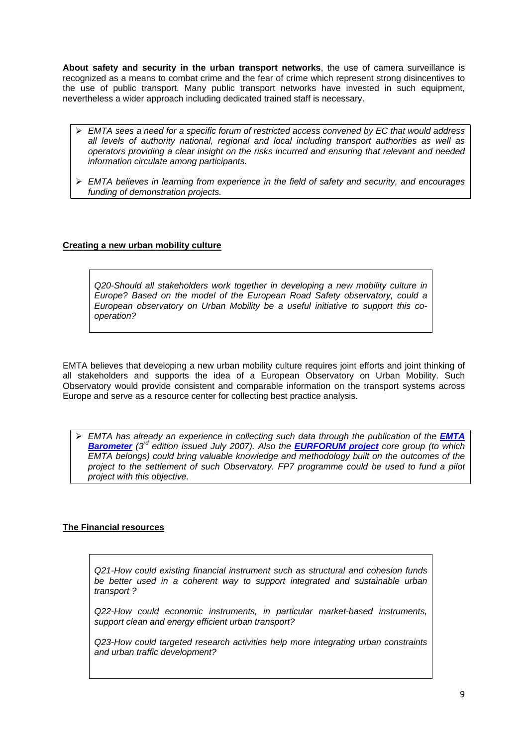**About safety and security in the urban transport networks**, the use of camera surveillance is recognized as a means to combat crime and the fear of crime which represent strong disincentives to the use of public transport. Many public transport networks have invested in such equipment, nevertheless a wider approach including dedicated trained staff is necessary.

- ¾ *EMTA sees a need for a specific forum of restricted access convened by EC that would address all levels of authority national, regional and local including transport authorities as well as operators providing a clear insight on the risks incurred and ensuring that relevant and needed information circulate among participants.*
- ¾ *EMTA believes in learning from experience in the field of safety and security, and encourages funding of demonstration projects.*

# **Creating a new urban mobility culture**

*Q20-Should all stakeholders work together in developing a new mobility culture in Europe? Based on the model of the European Road Safety observatory, could a European observatory on Urban Mobility be a useful initiative to support this cooperation?* 

EMTA believes that developing a new urban mobility culture requires joint efforts and joint thinking of all stakeholders and supports the idea of a European Observatory on Urban Mobility. Such Observatory would provide consistent and comparable information on the transport systems across Europe and serve as a resource center for collecting best practice analysis.

¾ *EMTA has already an experience in collecting such data through the publication of the [EMTA](http://www.emta.com/IMG/pdf/Barometer_Report_FINAL_jul07_Sin_P.pdf)  [Barometer](http://www.emta.com/IMG/pdf/Barometer_Report_FINAL_jul07_Sin_P.pdf) (3rd edition issued July 2007). Also the [EURFORUM project](http://www.emta.com/IMG/pdf/SRA_Eurforum.pdf) core group (to which EMTA belongs) could bring valuable knowledge and methodology built on the outcomes of the project to the settlement of such Observatory. FP7 programme could be used to fund a pilot project with this objective.* 

# **The Financial resources**

*Q21-How could existing financial instrument such as structural and cohesion funds be better used in a coherent way to support integrated and sustainable urban transport ?* 

*Q22-How could economic instruments, in particular market-based instruments, support clean and energy efficient urban transport?* 

*Q23-How could targeted research activities help more integrating urban constraints and urban traffic development?*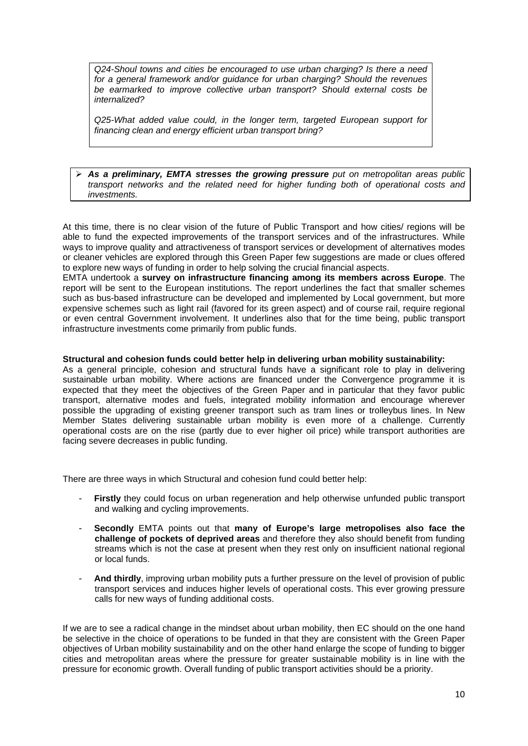*Q24-Shoul towns and cities be encouraged to use urban charging? Is there a need for a general framework and/or guidance for urban charging? Should the revenues be earmarked to improve collective urban transport? Should external costs be internalized?* 

*Q25-What added value could, in the longer term, targeted European support for financing clean and energy efficient urban transport bring?* 

#### ¾ *As a preliminary, EMTA stresses the growing pressure put on metropolitan areas public transport networks and the related need for higher funding both of operational costs and investments.*

At this time, there is no clear vision of the future of Public Transport and how cities/ regions will be able to fund the expected improvements of the transport services and of the infrastructures. While ways to improve quality and attractiveness of transport services or development of alternatives modes or cleaner vehicles are explored through this Green Paper few suggestions are made or clues offered to explore new ways of funding in order to help solving the crucial financial aspects.

EMTA undertook a **survey on infrastructure financing among its members across Europe**. The report will be sent to the European institutions. The report underlines the fact that smaller schemes such as bus-based infrastructure can be developed and implemented by Local government, but more expensive schemes such as light rail (favored for its green aspect) and of course rail, require regional or even central Government involvement. It underlines also that for the time being, public transport infrastructure investments come primarily from public funds.

## **Structural and cohesion funds could better help in delivering urban mobility sustainability:**

As a general principle, cohesion and structural funds have a significant role to play in delivering sustainable urban mobility. Where actions are financed under the Convergence programme it is expected that they meet the objectives of the Green Paper and in particular that they favor public transport, alternative modes and fuels, integrated mobility information and encourage wherever possible the upgrading of existing greener transport such as tram lines or trolleybus lines. In New Member States delivering sustainable urban mobility is even more of a challenge. Currently operational costs are on the rise (partly due to ever higher oil price) while transport authorities are facing severe decreases in public funding.

There are three ways in which Structural and cohesion fund could better help:

- **Firstly** they could focus on urban regeneration and help otherwise unfunded public transport and walking and cycling improvements.
- **Secondly** EMTA points out that **many of Europe's large metropolises also face the challenge of pockets of deprived areas** and therefore they also should benefit from funding streams which is not the case at present when they rest only on insufficient national regional or local funds.
- And thirdly, improving urban mobility puts a further pressure on the level of provision of public transport services and induces higher levels of operational costs. This ever growing pressure calls for new ways of funding additional costs.

If we are to see a radical change in the mindset about urban mobility, then EC should on the one hand be selective in the choice of operations to be funded in that they are consistent with the Green Paper objectives of Urban mobility sustainability and on the other hand enlarge the scope of funding to bigger cities and metropolitan areas where the pressure for greater sustainable mobility is in line with the pressure for economic growth. Overall funding of public transport activities should be a priority.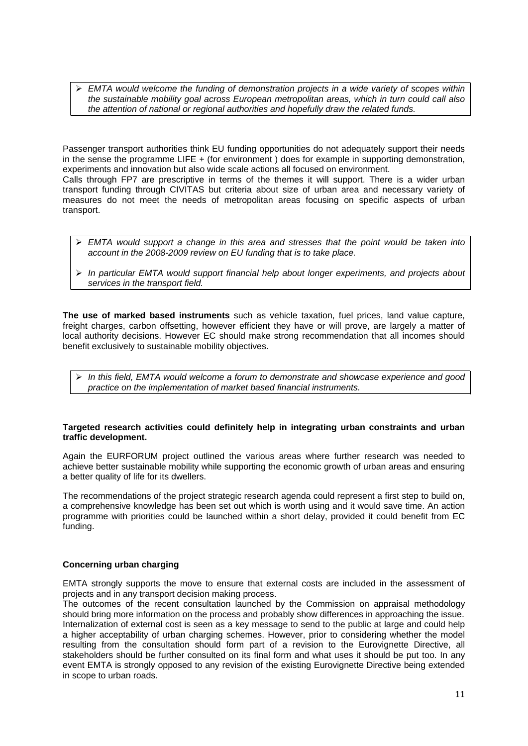¾ *EMTA would welcome the funding of demonstration projects in a wide variety of scopes within the sustainable mobility goal across European metropolitan areas, which in turn could call also the attention of national or regional authorities and hopefully draw the related funds.*

Passenger transport authorities think EU funding opportunities do not adequately support their needs in the sense the programme LIFE + (for environment ) does for example in supporting demonstration, experiments and innovation but also wide scale actions all focused on environment. Calls through FP7 are prescriptive in terms of the themes it will support. There is a wider urban

transport funding through CIVITAS but criteria about size of urban area and necessary variety of measures do not meet the needs of metropolitan areas focusing on specific aspects of urban transport.

- ¾ *EMTA would support a change in this area and stresses that the point would be taken into account in the 2008-2009 review on EU funding that is to take place.*
- ¾ *In particular EMTA would support financial help about longer experiments, and projects about services in the transport field.*

**The use of marked based instruments** such as vehicle taxation, fuel prices, land value capture, freight charges, carbon offsetting, however efficient they have or will prove, are largely a matter of local authority decisions. However EC should make strong recommendation that all incomes should benefit exclusively to sustainable mobility objectives.

¾ *In this field, EMTA would welcome a forum to demonstrate and showcase experience and good practice on the implementation of market based financial instruments.* 

#### **Targeted research activities could definitely help in integrating urban constraints and urban traffic development.**

Again the EURFORUM project outlined the various areas where further research was needed to achieve better sustainable mobility while supporting the economic growth of urban areas and ensuring a better quality of life for its dwellers.

The recommendations of the project strategic research agenda could represent a first step to build on, a comprehensive knowledge has been set out which is worth using and it would save time. An action programme with priorities could be launched within a short delay, provided it could benefit from EC funding.

# **Concerning urban charging**

EMTA strongly supports the move to ensure that external costs are included in the assessment of projects and in any transport decision making process.

The outcomes of the recent consultation launched by the Commission on appraisal methodology should bring more information on the process and probably show differences in approaching the issue. Internalization of external cost is seen as a key message to send to the public at large and could help a higher acceptability of urban charging schemes. However, prior to considering whether the model resulting from the consultation should form part of a revision to the Eurovignette Directive, all stakeholders should be further consulted on its final form and what uses it should be put too. In any event EMTA is strongly opposed to any revision of the existing Eurovignette Directive being extended in scope to urban roads.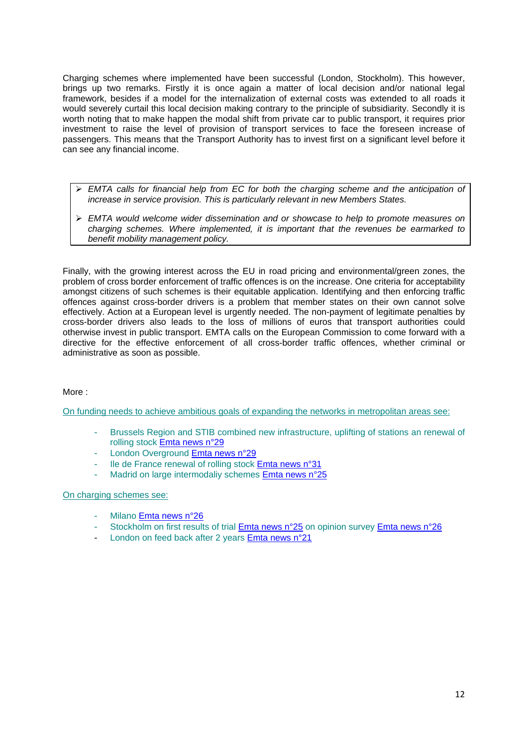Charging schemes where implemented have been successful (London, Stockholm). This however, brings up two remarks. Firstly it is once again a matter of local decision and/or national legal framework, besides if a model for the internalization of external costs was extended to all roads it would severely curtail this local decision making contrary to the principle of subsidiarity. Secondly it is worth noting that to make happen the modal shift from private car to public transport, it requires prior investment to raise the level of provision of transport services to face the foreseen increase of passengers. This means that the Transport Authority has to invest first on a significant level before it can see any financial income.

- ¾ *EMTA calls for financial help from EC for both the charging scheme and the anticipation of increase in service provision. This is particularly relevant in new Members States.*
- ¾ *EMTA would welcome wider dissemination and or showcase to help to promote measures on charging schemes. Where implemented, it is important that the revenues be earmarked to benefit mobility management policy.*

Finally, with the growing interest across the EU in road pricing and environmental/green zones, the problem of cross border enforcement of traffic offences is on the increase. One criteria for acceptability amongst citizens of such schemes is their equitable application. Identifying and then enforcing traffic offences against cross-border drivers is a problem that member states on their own cannot solve effectively. Action at a European level is urgently needed. The non-payment of legitimate penalties by cross-border drivers also leads to the loss of millions of euros that transport authorities could otherwise invest in public transport. EMTA calls on the European Commission to come forward with a directive for the effective enforcement of all cross-border traffic offences, whether criminal or administrative as soon as possible.

# More :

On funding needs to achieve ambitious goals of expanding the networks in metropolitan areas see:

- Brussels Region and STIB combined new infrastructure, uplifting of stations an renewal of rolling stock [Emta news n°29](http://www.emta.com/IMG/pdf/news_29.pdf)
- London Overground [Emta news n°29](http://www.emta.com/IMG/pdf/news_29.pdf)
- Ile de France renewal of rolling stock [Emta news n°31](http://www.emta.com/IMG/pdf/EMTAnews_31_HD_.pdf)
- Madrid on large intermodaliy schemes [Emta news n°25](http://www.emta.com/IMG/pdf/news_25_.pdf)

#### On charging schemes see:

- Milano [Emta news n°26](http://www.emta.com/IMG/pdf/news_26.pdf)
- Stockholm on first results of trial *Emta news n°25* on opinion survey *[Emta news n°26](http://www.emta.com/IMG/pdf/news_26.pdf)*
- London on feed back after 2 years [Emta news n°21](http://www.emta.com/IMG/pdf/news_21.pdf)